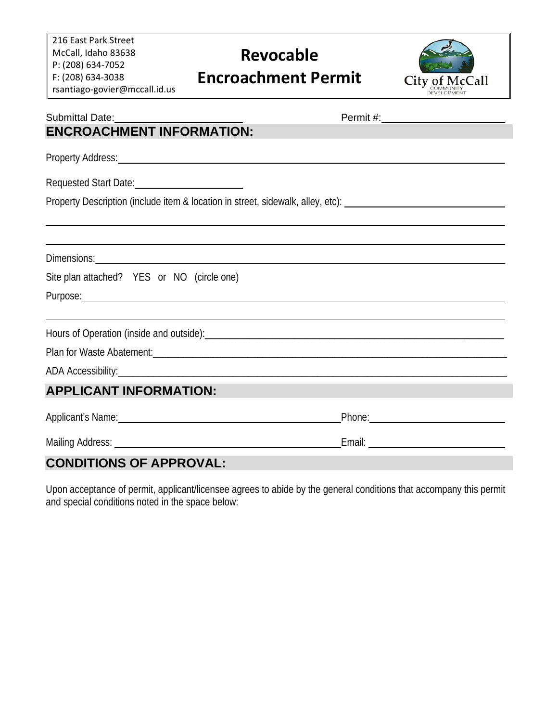216 East Park Street McCall, Idaho 83638 P: (208) 634-7052 F: (208) 634-3038 rsantiago-govier@mccall.id.us

## **Revocable Encroachment Permit**



| Submittal Date: <u>contract and the submittal</u>                                                                                                                                                                                   |  |
|-------------------------------------------------------------------------------------------------------------------------------------------------------------------------------------------------------------------------------------|--|
| <b>ENCROACHMENT INFORMATION:</b>                                                                                                                                                                                                    |  |
| Property Address: Note that the contract of the contract of the contract of the contract of the contract of the contract of the contract of the contract of the contract of the contract of the contract of the contract of th      |  |
| Requested Start Date: 1997                                                                                                                                                                                                          |  |
| Property Description (include item & location in street, sidewalk, alley, etc): ______________________________                                                                                                                      |  |
|                                                                                                                                                                                                                                     |  |
|                                                                                                                                                                                                                                     |  |
| Site plan attached? YES or NO (circle one)                                                                                                                                                                                          |  |
| Purpose: experience and the contract of the contract of the contract of the contract of the contract of the contract of the contract of the contract of the contract of the contract of the contract of the contract of the co      |  |
|                                                                                                                                                                                                                                     |  |
|                                                                                                                                                                                                                                     |  |
|                                                                                                                                                                                                                                     |  |
| <b>APPLICANT INFORMATION:</b>                                                                                                                                                                                                       |  |
| Applicant's Name: <u>Applicant's Name:</u> Applicant's Name: Applicant's Name: Applicant's Name: Applicant's Name: Applicant is not a set of the set of the set of the set of the set of the set of the set of the set of the set o |  |
|                                                                                                                                                                                                                                     |  |
| <b>CONDITIONS OF APPROVAL:</b>                                                                                                                                                                                                      |  |

Upon acceptance of permit, applicant/licensee agrees to abide by the general conditions that accompany this permit and special conditions noted in the space below: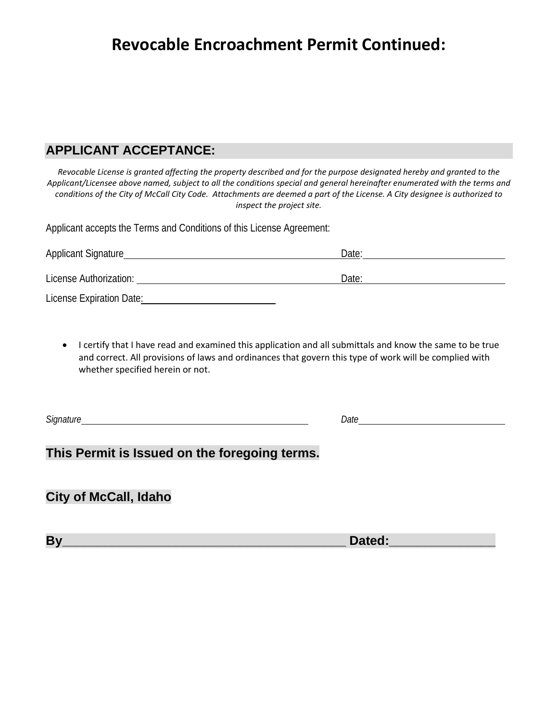## **Revocable Encroachment Permit Continued:**

#### **APPLICANT ACCEPTANCE:**

*Revocable License is granted affecting the property described and for the purpose designated hereby and granted to the Applicant/Licensee above named, subject to all the conditions special and general hereinafter enumerated with the terms and conditions of the City of McCall City Code. Attachments are deemed a part of the License. A City designee is authorized to inspect the project site.*

Applicant accepts the Terms and Conditions of this License Agreement:

| Applicant Signature      | Date: |
|--------------------------|-------|
| License Authorization:   | Date: |
| License Expiration Date: |       |

• I certify that I have read and examined this application and all submittals and know the same to be true and correct. All provisions of laws and ordinances that govern this type of work will be complied with whether specified herein or not.

*Signature Date*

#### **This Permit is Issued on the foregoing terms.**

**City of McCall, Idaho**

**By** Dated: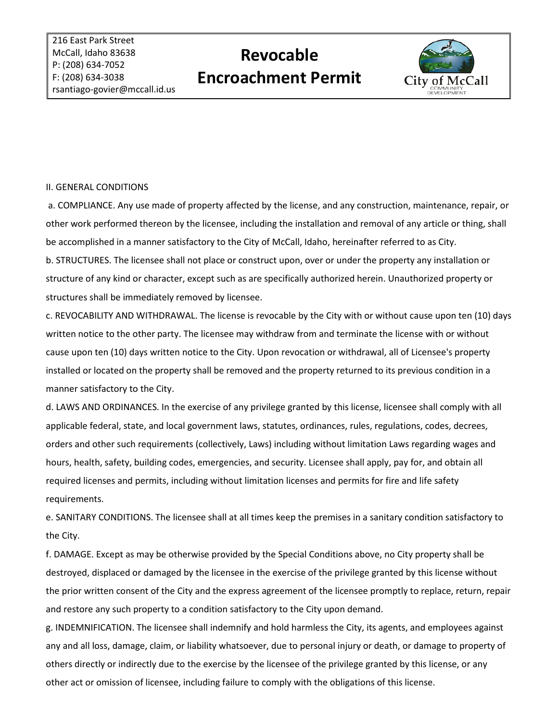# **Revocable Encroachment Permit**



#### II. GENERAL CONDITIONS

a. COMPLIANCE. Any use made of property affected by the license, and any construction, maintenance, repair, or other work performed thereon by the licensee, including the installation and removal of any article or thing, shall be accomplished in a manner satisfactory to the City of McCall, Idaho, hereinafter referred to as City. b. STRUCTURES. The licensee shall not place or construct upon, over or under the property any installation or structure of any kind or character, except such as are specifically authorized herein. Unauthorized property or structures shall be immediately removed by licensee.

c. REVOCABILITY AND WITHDRAWAL. The license is revocable by the City with or without cause upon ten (10) days written notice to the other party. The licensee may withdraw from and terminate the license with or without cause upon ten (10) days written notice to the City. Upon revocation or withdrawal, all of Licensee's property installed or located on the property shall be removed and the property returned to its previous condition in a manner satisfactory to the City.

d. LAWS AND ORDINANCES. In the exercise of any privilege granted by this license, licensee shall comply with all applicable federal, state, and local government laws, statutes, ordinances, rules, regulations, codes, decrees, orders and other such requirements (collectively, Laws) including without limitation Laws regarding wages and hours, health, safety, building codes, emergencies, and security. Licensee shall apply, pay for, and obtain all required licenses and permits, including without limitation licenses and permits for fire and life safety requirements.

e. SANITARY CONDITIONS. The licensee shall at all times keep the premises in a sanitary condition satisfactory to the City.

f. DAMAGE. Except as may be otherwise provided by the Special Conditions above, no City property shall be destroyed, displaced or damaged by the licensee in the exercise of the privilege granted by this license without the prior written consent of the City and the express agreement of the licensee promptly to replace, return, repair and restore any such property to a condition satisfactory to the City upon demand.

g. INDEMNIFICATION. The licensee shall indemnify and hold harmless the City, its agents, and employees against any and all loss, damage, claim, or liability whatsoever, due to personal injury or death, or damage to property of others directly or indirectly due to the exercise by the licensee of the privilege granted by this license, or any other act or omission of licensee, including failure to comply with the obligations of this license.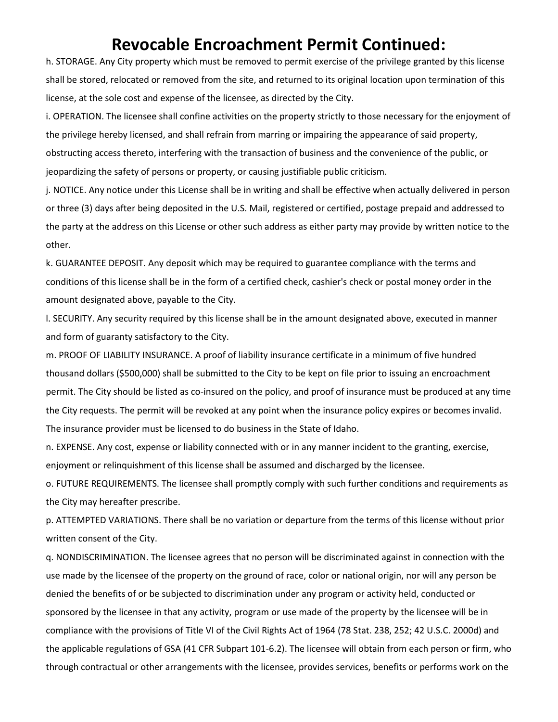### **Revocable Encroachment Permit Continued:**

h. STORAGE. Any City property which must be removed to permit exercise of the privilege granted by this license shall be stored, relocated or removed from the site, and returned to its original location upon termination of this license, at the sole cost and expense of the licensee, as directed by the City.

i. OPERATION. The licensee shall confine activities on the property strictly to those necessary for the enjoyment of the privilege hereby licensed, and shall refrain from marring or impairing the appearance of said property, obstructing access thereto, interfering with the transaction of business and the convenience of the public, or jeopardizing the safety of persons or property, or causing justifiable public criticism.

j. NOTICE. Any notice under this License shall be in writing and shall be effective when actually delivered in person or three (3) days after being deposited in the U.S. Mail, registered or certified, postage prepaid and addressed to the party at the address on this License or other such address as either party may provide by written notice to the other.

k. GUARANTEE DEPOSIT. Any deposit which may be required to guarantee compliance with the terms and conditions of this license shall be in the form of a certified check, cashier's check or postal money order in the amount designated above, payable to the City.

l. SECURITY. Any security required by this license shall be in the amount designated above, executed in manner and form of guaranty satisfactory to the City.

m. PROOF OF LIABILITY INSURANCE. A proof of liability insurance certificate in a minimum of five hundred thousand dollars (\$500,000) shall be submitted to the City to be kept on file prior to issuing an encroachment permit. The City should be listed as co-insured on the policy, and proof of insurance must be produced at any time the City requests. The permit will be revoked at any point when the insurance policy expires or becomes invalid. The insurance provider must be licensed to do business in the State of Idaho.

n. EXPENSE. Any cost, expense or liability connected with or in any manner incident to the granting, exercise, enjoyment or relinquishment of this license shall be assumed and discharged by the licensee.

o. FUTURE REQUIREMENTS. The licensee shall promptly comply with such further conditions and requirements as the City may hereafter prescribe.

p. ATTEMPTED VARIATIONS. There shall be no variation or departure from the terms of this license without prior written consent of the City.

q. NONDISCRIMINATION. The licensee agrees that no person will be discriminated against in connection with the use made by the licensee of the property on the ground of race, color or national origin, nor will any person be denied the benefits of or be subjected to discrimination under any program or activity held, conducted or sponsored by the licensee in that any activity, program or use made of the property by the licensee will be in compliance with the provisions of Title VI of the Civil Rights Act of 1964 (78 Stat. 238, 252; 42 U.S.C. 2000d) and the applicable regulations of GSA (41 CFR Subpart 101-6.2). The licensee will obtain from each person or firm, who through contractual or other arrangements with the licensee, provides services, benefits or performs work on the